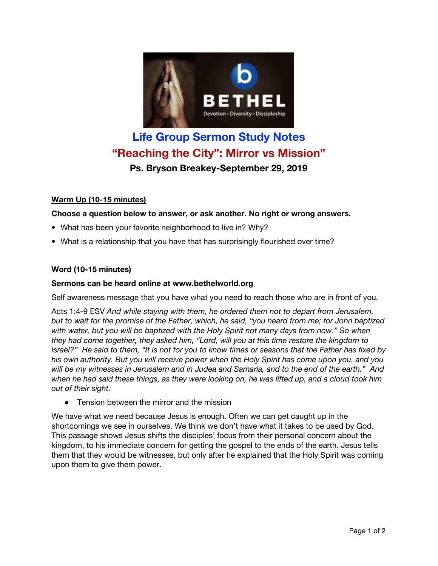

# **Life Group Sermon Study Notes "Reaching the City": Mirror vs Mission" Ps. Bryson Breakey-September 29, 2019**

# **Warm Up (10-15 minutes)**

## **Choose a question below to answer, or ask another. No right or wrong answers.**

- What has been your favorite neighborhood to live in? Why?
- What is a relationship that you have that has surprisingly flourished over time?

## **Word (10-15 minutes)**

#### **Sermons can be heard online at [www.bethelworld.org](http://www.bethelworld.org/)**

Self awareness message that you have what you need to reach those who are in front of you.

Acts 1:4-9 ESV *And while staying with them, he ordered them not to depart from Jerusalem,* but to wait for the promise of the Father, which, he said, "you heard from me; for John baptized *with water, but you will be baptized with the Holy Spirit not many days from now." So when they had come together, they asked him, "Lord, will you at this time restore the kingdom to* Israel?" He said to them, "It is not for you to know times or seasons that the Father has fixed by *his own authority. But you will receive power when the Holy Spirit has come upon you, and you* will be my witnesses in Jerusalem and in Judea and Samaria, and to the end of the earth." And when he had said these things, as they were looking on, he was lifted up, and a cloud took him *out of their sight.*

• Tension between the mirror and the mission

We have what we need because Jesus is enough. Often we can get caught up in the shortcomings we see in ourselves. We think we don't have what it takes to be used by God. This passage shows Jesus shifts the disciples' focus from their personal concern about the kingdom, to his immediate concern for getting the gospel to the ends of the earth. Jesus tells them that they would be witnesses, but only after he explained that the Holy Spirit was coming upon them to give them power.